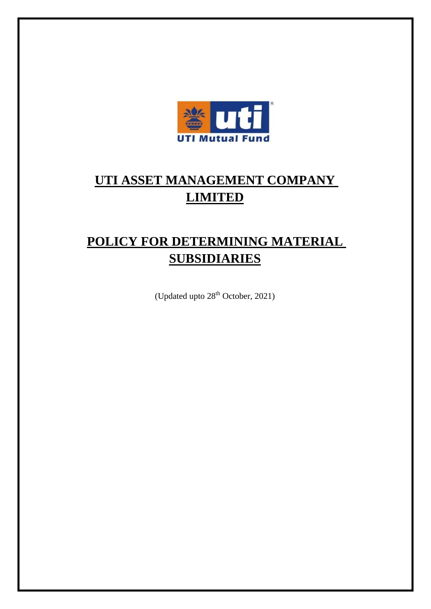

# **UTI ASSET MANAGEMENT COMPANY LIMITED**

# **POLICY FOR DETERMINING MATERIAL SUBSIDIARIES**

(Updated upto 28<sup>th</sup> October, 2021)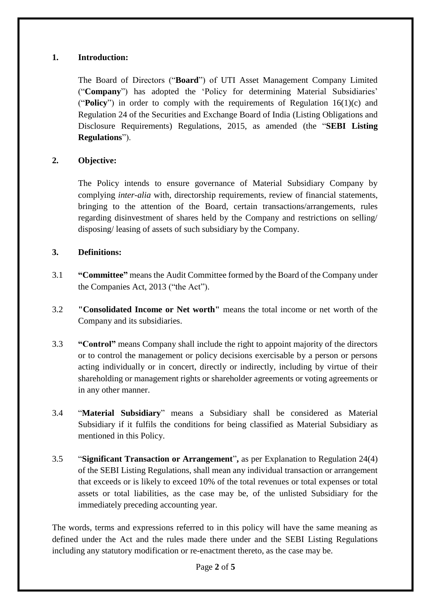## **1. Introduction:**

The Board of Directors ("**Board**") of UTI Asset Management Company Limited ("**Company**") has adopted the 'Policy for determining Material Subsidiaries' ("**Policy**") in order to comply with the requirements of Regulation 16(1)(c) and Regulation 24 of the Securities and Exchange Board of India (Listing Obligations and Disclosure Requirements) Regulations, 2015, as amended (the "**SEBI Listing Regulations**").

# **2. Objective:**

The Policy intends to ensure governance of Material Subsidiary Company by complying *inter-alia* with, directorship requirements, review of financial statements, bringing to the attention of the Board, certain transactions/arrangements, rules regarding disinvestment of shares held by the Company and restrictions on selling/ disposing/ leasing of assets of such subsidiary by the Company.

## **3. Definitions:**

- 3.1 **"Committee"** means the Audit Committee formed by the Board of the Company under the Companies Act, 2013 ("the Act").
- 3.2 **"Consolidated Income or Net worth"** means the total income or net worth of the Company and its subsidiaries.
- 3.3 **"Control"** means Company shall include the right to appoint majority of the directors or to control the management or policy decisions exercisable by a person or persons acting individually or in concert, directly or indirectly, including by virtue of their shareholding or management rights or shareholder agreements or voting agreements or in any other manner.
- 3.4 "**Material Subsidiary**" means a Subsidiary shall be considered as Material Subsidiary if it fulfils the conditions for being classified as Material Subsidiary as mentioned in this Policy.
- 3.5 "**Significant Transaction or Arrangement**"**,** as per Explanation to Regulation 24(4) of the SEBI Listing Regulations, shall mean any individual transaction or arrangement that exceeds or is likely to exceed 10% of the total revenues or total expenses or total assets or total liabilities, as the case may be, of the unlisted Subsidiary for the immediately preceding accounting year.

The words, terms and expressions referred to in this policy will have the same meaning as defined under the Act and the rules made there under and the SEBI Listing Regulations including any statutory modification or re-enactment thereto, as the case may be.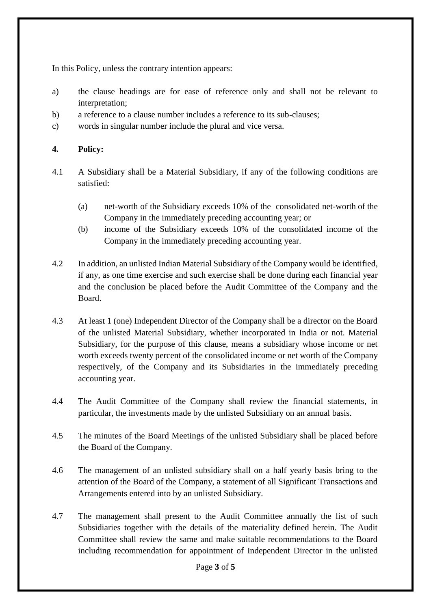In this Policy, unless the contrary intention appears:

- a) the clause headings are for ease of reference only and shall not be relevant to interpretation;
- b) a reference to a clause number includes a reference to its sub-clauses;
- c) words in singular number include the plural and vice versa.

### **4. Policy:**

- 4.1 A Subsidiary shall be a Material Subsidiary, if any of the following conditions are satisfied:
	- (a) net-worth of the Subsidiary exceeds 10% of the consolidated net-worth of the Company in the immediately preceding accounting year; or
	- (b) income of the Subsidiary exceeds 10% of the consolidated income of the Company in the immediately preceding accounting year.
- 4.2 In addition, an unlisted Indian Material Subsidiary of the Company would be identified, if any, as one time exercise and such exercise shall be done during each financial year and the conclusion be placed before the Audit Committee of the Company and the Board.
- 4.3 At least 1 (one) Independent Director of the Company shall be a director on the Board of the unlisted Material Subsidiary, whether incorporated in India or not. Material Subsidiary, for the purpose of this clause, means a subsidiary whose income or net worth exceeds twenty percent of the consolidated income or net worth of the Company respectively, of the Company and its Subsidiaries in the immediately preceding accounting year.
- 4.4 The Audit Committee of the Company shall review the financial statements, in particular, the investments made by the unlisted Subsidiary on an annual basis.
- 4.5 The minutes of the Board Meetings of the unlisted Subsidiary shall be placed before the Board of the Company.
- 4.6 The management of an unlisted subsidiary shall on a half yearly basis bring to the attention of the Board of the Company, a statement of all Significant Transactions and Arrangements entered into by an unlisted Subsidiary.
- 4.7 The management shall present to the Audit Committee annually the list of such Subsidiaries together with the details of the materiality defined herein. The Audit Committee shall review the same and make suitable recommendations to the Board including recommendation for appointment of Independent Director in the unlisted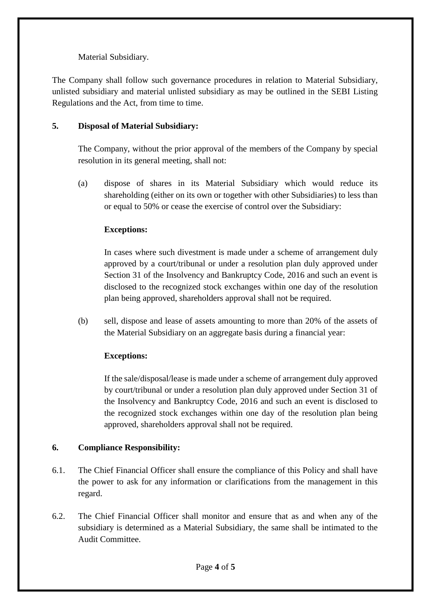# Material Subsidiary.

The Company shall follow such governance procedures in relation to Material Subsidiary, unlisted subsidiary and material unlisted subsidiary as may be outlined in the SEBI Listing Regulations and the Act, from time to time.

## **5. Disposal of Material Subsidiary:**

The Company, without the prior approval of the members of the Company by special resolution in its general meeting, shall not:

(a) dispose of shares in its Material Subsidiary which would reduce its shareholding (either on its own or together with other Subsidiaries) to less than or equal to 50% or cease the exercise of control over the Subsidiary:

## **Exceptions:**

In cases where such divestment is made under a scheme of arrangement duly approved by a court/tribunal or under a resolution plan duly approved under Section 31 of the Insolvency and Bankruptcy Code, 2016 and such an event is disclosed to the recognized stock exchanges within one day of the resolution plan being approved, shareholders approval shall not be required.

(b) sell, dispose and lease of assets amounting to more than 20% of the assets of the Material Subsidiary on an aggregate basis during a financial year:

# **Exceptions:**

If the sale/disposal/lease is made under a scheme of arrangement duly approved by court/tribunal or under a resolution plan duly approved under Section 31 of the Insolvency and Bankruptcy Code, 2016 and such an event is disclosed to the recognized stock exchanges within one day of the resolution plan being approved, shareholders approval shall not be required.

#### **6. Compliance Responsibility:**

- 6.1. The Chief Financial Officer shall ensure the compliance of this Policy and shall have the power to ask for any information or clarifications from the management in this regard.
- 6.2. The Chief Financial Officer shall monitor and ensure that as and when any of the subsidiary is determined as a Material Subsidiary, the same shall be intimated to the Audit Committee.